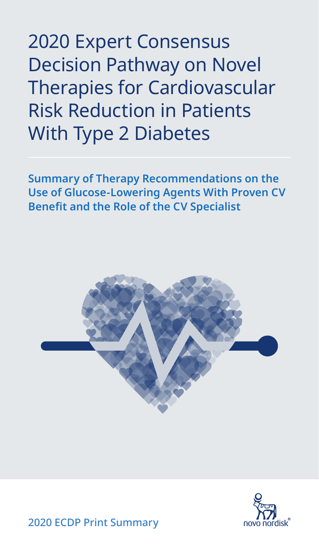2020 Expert Consensus Decision Pathway on Novel Therapies for Cardiovascular Risk Reduction in Patients With Type 2 Diabetes

**Summary of Therapy Recommendations on the Use of Glucose-Lowering Agents With Proven CV Benefit and the Role of the CV Specialist** 





2020 ECDP Print Summary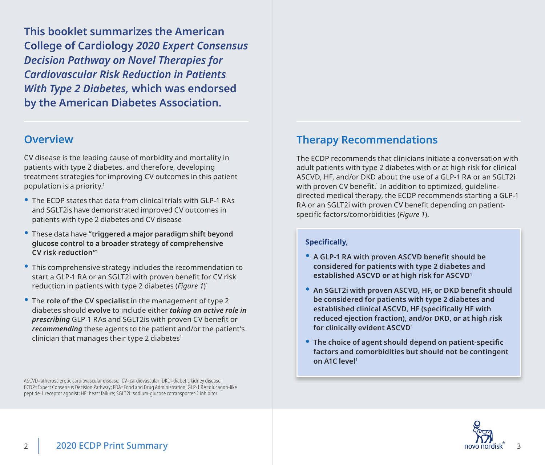**This booklet summarizes the American College of Cardiology** *2020 Expert Consensus Decision Pathway on Novel Therapies for Cardiovascular Risk Reduction in Patients With Type 2 Diabetes,* **which was endorsed by the American Diabetes Association.**

#### **Overview**

CV disease is the leading cause of morbidity and mortality in patients with type 2 diabetes, and therefore, developing treatment strategies for improving CV outcomes in this patient population is a priority.1

- The ECDP states that data from clinical trials with GLP-1 RAs and SGLT2is have demonstrated improved CV outcomes in patients with type 2 diabetes and CV disease
- These data have **"triggered a major paradigm shift beyond glucose control to a broader strategy of comprehensive CV risk reduction"**<sup>1</sup>
- This comprehensive strategy includes the recommendation to start a GLP-1 RA or an SGLT2i with proven benefit for CV risk reduction in patients with type 2 diabetes (*Figure 1*) 1
- The **role of the CV specialist** in the management of type 2 diabetes should **evolve** to include either *taking an active role in*  **prescribing** GLP-1 RAs and SGLT2is with proven CV benefit or *recommending* these agents to the patient and/or the patient's  $clinician that manages their type 2 diabetes<sup>1</sup>$

ASCVD=atherosclerotic cardiovascular disease; CV=cardiovascular; DKD=diabetic kidney disease; ECDP=Expert Consensus Decision Pathway; FDA=Food and Drug Administration; GLP-1 RA=glucagon-like peptide-1 receptor agonist; HF=heart failure; SGLT2i=sodium-glucose cotransporter-2 inhibitor.

# **Therapy Recommendations**

The ECDP recommends that clinicians initiate a conversation with adult patients with type 2 diabetes with or at high risk for clinical ASCVD, HF, and/or DKD about the use of a GLP-1 RA or an SGLT2i with proven CV benefit.' In addition to optimized, guidelinedirected medical therapy, the ECDP recommends starting a GLP-1 RA or an SGLT2i with proven CV benefit depending on patientspecific factors/comorbidities (*Figure 1*).

#### **Specifi cally,**

- A GLP-1 RA with proven ASCVD benefit should be **considered for patients with type 2 diabetes and established ASCVD or at high risk for ASCVD**<sup>1</sup>
- An SGLT2i with proven ASCVD, HF, or DKD benefit should **be considered for patients with type 2 diabetes and**  established clinical ASCVD, HF (specifically HF with **reduced ejection fraction), and/or DKD, or at high risk for clinically evident ASCVD**<sup>1</sup>
- **The choice of agent should depend on patient-specific factors and comorbidities but should not be contingent on A1C level**1

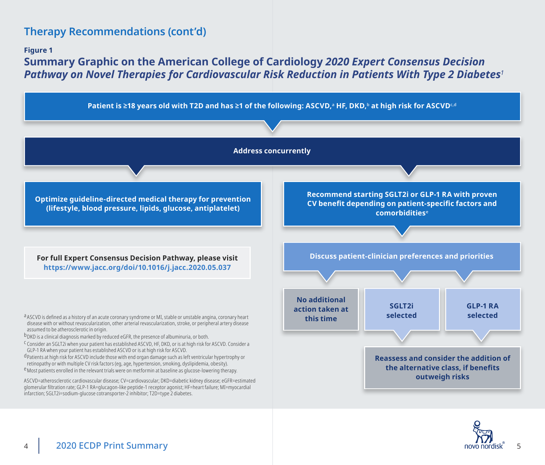### **Therapy Recommendations (cont'd)**

**Figure 1**

# **Summary Graphic on the American College of Cardiology** *2020 Expert Consensus Decision Pathway on Novel Therapies for Cardiovascular Risk Reduction in Patients With Type 2 Diabetes<sup>1</sup>*



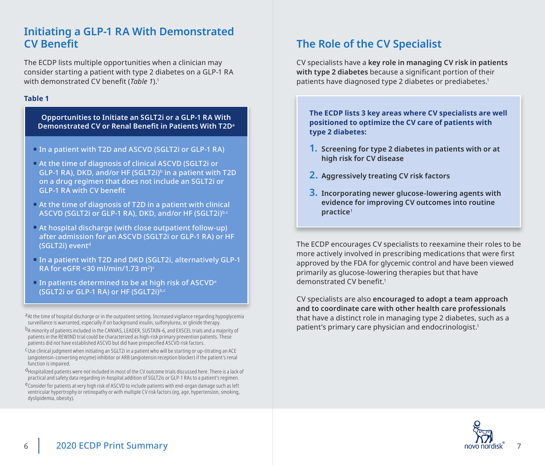### **Initiating a GLP-1 RA With Demonstrated CV Benefit**

The ECDP lists multiple opportunities when a clinician may consider starting a patient with type 2 diabetes on a GLP-1 RA with demonstrated CV benefit (*Table 1*).<sup>1</sup>

#### **Table 1**

**Opportunities to Initiate an SGLT2i or a GLP-1 RA With Demonstrated CV or Renal Benefit in Patients With T2D<sup>a</sup>** 

- In a patient with T2D and ASCVD (SGLT2i or GLP-1 RA)
- At the time of diagnosis of clinical ASCVD (SGLT2i or GLP-1 RA), DKD, and/or HF (SGLT2i)<sup>b</sup> in a patient with T2D on a drug regimen that does not include an SGLT2i or **GLP-1 RA with CV benefit**
- At the time of diagnosis of T2D in a patient with clinical ASCVD (SGLT2i or GLP-1 RA), DKD, and/or HF (SGLT2i)b,c
- At hospital discharge (with close outpatient follow-up) after admission for an ASCVD (SGLT2i or GLP-1 RA) or HF (SGLT2i) event<sup>d</sup>
- In a patient with T2D and DKD (SGLT2i, alternatively GLP-1 RA for eGFR <30 ml/min/1.73 m<sup>2</sup>)<sup>c</sup>
- <sup>o</sup> In patients determined to be at high risk of ASCVD<sup>e</sup> (SGLT2i or GLP-1 RA) or HF (SGLT2i)b,c

a At the time of hospital discharge or in the outpatient setting. Increased vigilance regarding hypoglycemia surveillance is warranted, especially if on background insulin, sulfonylurea, or glinide therapy.

bA minority of patients included in the CANVAS, LEADER, SUSTAIN-6, and EXSCEL trials and a majority of patients in the REWIND trial could be characterized as high-risk primary prevention patients. These patients did not have established ASCVD but did have prespecified ASCVD risk factors.

<sup>C</sup>Use clinical judgment when initiating an SGLT2i in a patient who will be starting or up-titrating an ACE (angiotensin-converting enzyme) inhibitor or ARB (angiotensin reception blocker) if the patient's renal function is impaired.

<sup>d</sup> Hospitalized patients were not included in most of the CV outcome trials discussed here. There is a lack of practical and safety data regarding in-hospital addition of SGLT2is or GLP-1 RAs to a patient's regimen.

e Consider for patients at very high risk of ASCVD to include patients with end-organ damage such as left ventricular hypertrophy or retinopathy or with multiple CV risk factors (eg, age, hypertension, smoking, dyslipidemia, obesity).

## **The Role of the CV Specialist**

CV specialists have a **key role in managing CV risk in patients**  with type 2 diabetes because a significant portion of their patients have diagnosed type 2 diabetes or prediabetes.<sup>1</sup>

**The ECDP lists 3 key areas where CV specialists are well positioned to optimize the CV care of patients with type 2 diabetes:**

- **1. Screening for type 2 diabetes in patients with or at high risk for CV disease**
- **2. Aggressively treating CV risk factors**
- **3. Incorporating newer glucose-lowering agents with evidence for improving CV outcomes into routine practice**<sup>1</sup>

The ECDP encourages CV specialists to reexamine their roles to be more actively involved in prescribing medications that were first approved by the FDA for glycemic control and have been viewed primarily as glucose-lowering therapies but that have demonstrated CV benefit.<sup>1</sup>

CV specialists are also **encouraged to adopt a team approach and to coordinate care with other health care professionals** that have a distinct role in managing type 2 diabetes, such as a patient's primary care physician and endocrinologist.<sup>1</sup>